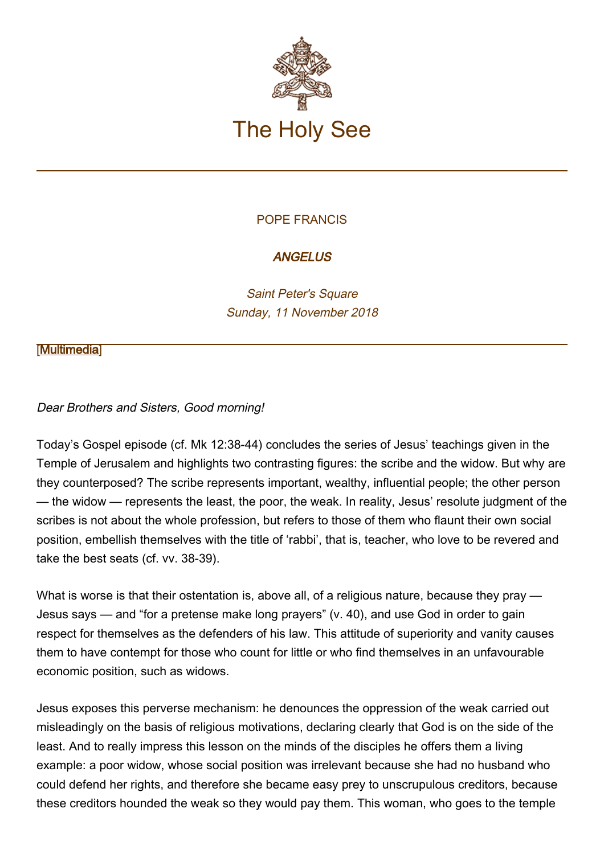

## POPE FRANCIS

# **ANGELUS**

Saint Peter's Square Sunday, 11 November 2018

#### **[\[Multimedia](http://w2.vatican.va/content/francesco/en/events/event.dir.html/content/vaticanevents/en/2018/11/11/angelus.html)]**

## Dear Brothers and Sisters, Good morning!

Today's Gospel episode (cf. Mk 12:38-44) concludes the series of Jesus' teachings given in the Temple of Jerusalem and highlights two contrasting figures: the scribe and the widow. But why are they counterposed? The scribe represents important, wealthy, influential people; the other person — the widow — represents the least, the poor, the weak. In reality, Jesus' resolute judgment of the scribes is not about the whole profession, but refers to those of them who flaunt their own social position, embellish themselves with the title of 'rabbi', that is, teacher, who love to be revered and take the best seats (cf. vv. 38-39).

What is worse is that their ostentation is, above all, of a religious nature, because they pray — Jesus says — and "for a pretense make long prayers" (v. 40), and use God in order to gain respect for themselves as the defenders of his law. This attitude of superiority and vanity causes them to have contempt for those who count for little or who find themselves in an unfavourable economic position, such as widows.

Jesus exposes this perverse mechanism: he denounces the oppression of the weak carried out misleadingly on the basis of religious motivations, declaring clearly that God is on the side of the least. And to really impress this lesson on the minds of the disciples he offers them a living example: a poor widow, whose social position was irrelevant because she had no husband who could defend her rights, and therefore she became easy prey to unscrupulous creditors, because these creditors hounded the weak so they would pay them. This woman, who goes to the temple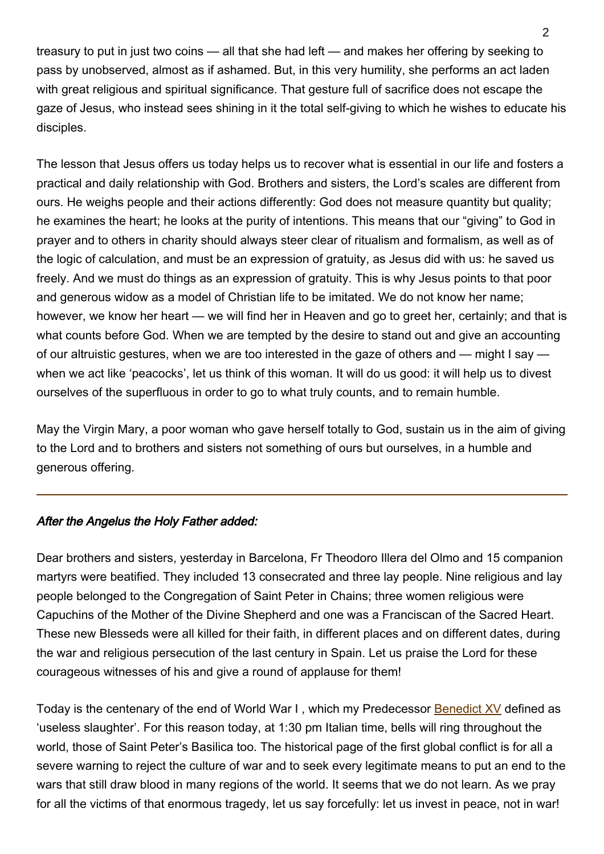treasury to put in just two coins — all that she had left — and makes her offering by seeking to pass by unobserved, almost as if ashamed. But, in this very humility, she performs an act laden with great religious and spiritual significance. That gesture full of sacrifice does not escape the gaze of Jesus, who instead sees shining in it the total self-giving to which he wishes to educate his disciples.

The lesson that Jesus offers us today helps us to recover what is essential in our life and fosters a practical and daily relationship with God. Brothers and sisters, the Lord's scales are different from ours. He weighs people and their actions differently: God does not measure quantity but quality; he examines the heart; he looks at the purity of intentions. This means that our "giving" to God in prayer and to others in charity should always steer clear of ritualism and formalism, as well as of the logic of calculation, and must be an expression of gratuity, as Jesus did with us: he saved us freely. And we must do things as an expression of gratuity. This is why Jesus points to that poor and generous widow as a model of Christian life to be imitated. We do not know her name; however, we know her heart — we will find her in Heaven and go to greet her, certainly; and that is what counts before God. When we are tempted by the desire to stand out and give an accounting of our altruistic gestures, when we are too interested in the gaze of others and — might I say when we act like 'peacocks', let us think of this woman. It will do us good: it will help us to divest ourselves of the superfluous in order to go to what truly counts, and to remain humble.

May the Virgin Mary, a poor woman who gave herself totally to God, sustain us in the aim of giving to the Lord and to brothers and sisters not something of ours but ourselves, in a humble and generous offering.

## After the Angelus the Holy Father added:

Dear brothers and sisters, yesterday in Barcelona, Fr Theodoro Illera del Olmo and 15 companion martyrs were beatified. They included 13 consecrated and three lay people. Nine religious and lay people belonged to the Congregation of Saint Peter in Chains; three women religious were Capuchins of the Mother of the Divine Shepherd and one was a Franciscan of the Sacred Heart. These new Blesseds were all killed for their faith, in different places and on different dates, during the war and religious persecution of the last century in Spain. Let us praise the Lord for these courageous witnesses of his and give a round of applause for them!

Today is the centenary of the end of World War I, which my Predecessor **[Benedict XV](http://w2.vatican.va/content/benedict-xv/en.html)** defined as 'useless slaughter'. For this reason today, at 1:30 pm Italian time, bells will ring throughout the world, those of Saint Peter's Basilica too. The historical page of the first global conflict is for all a severe warning to reject the culture of war and to seek every legitimate means to put an end to the wars that still draw blood in many regions of the world. It seems that we do not learn. As we pray for all the victims of that enormous tragedy, let us say forcefully: let us invest in peace, not in war!